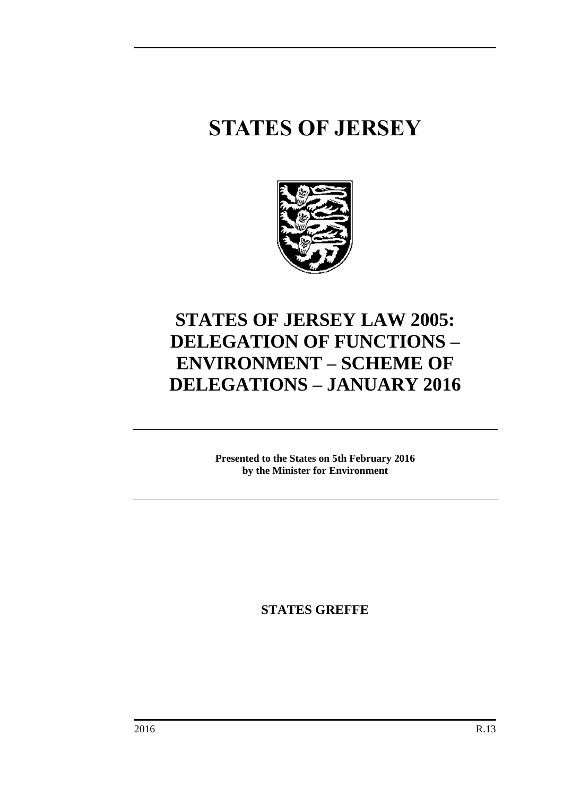# **STATES OF JERSEY**



# **STATES OF JERSEY LAW 2005: DELEGATION OF FUNCTIONS – ENVIRONMENT – SCHEME OF DELEGATIONS – JANUARY 2016**

**Presented to the States on 5th February 2016 by the Minister for Environment**

**STATES GREFFE**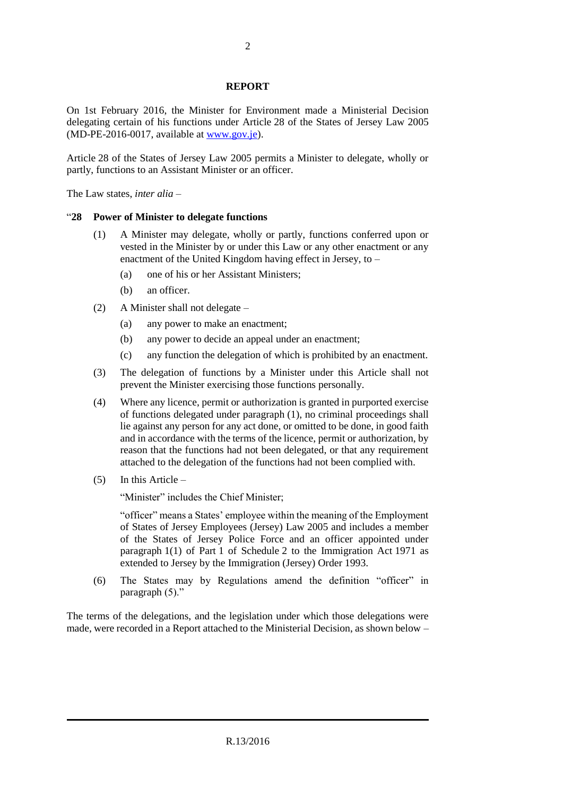#### **REPORT**

On 1st February 2016, the Minister for Environment made a Ministerial Decision delegating certain of his functions under Article 28 of the States of Jersey Law 2005 (MD-PE-2016-0017, available at [www.gov.je\)](http://www.gov.je/).

Article 28 of the States of Jersey Law 2005 permits a Minister to delegate, wholly or partly, functions to an Assistant Minister or an officer.

The Law states, *inter alia* –

#### "**28 Power of Minister to delegate functions**

- (1) A Minister may delegate, wholly or partly, functions conferred upon or vested in the Minister by or under this Law or any other enactment or any enactment of the United Kingdom having effect in Jersey, to –
	- (a) one of his or her Assistant Ministers;
	- (b) an officer.
- (2) A Minister shall not delegate
	- (a) any power to make an enactment;
	- (b) any power to decide an appeal under an enactment;
	- (c) any function the delegation of which is prohibited by an enactment.
- (3) The delegation of functions by a Minister under this Article shall not prevent the Minister exercising those functions personally.
- (4) Where any licence, permit or authorization is granted in purported exercise of functions delegated under paragraph (1), no criminal proceedings shall lie against any person for any act done, or omitted to be done, in good faith and in accordance with the terms of the licence, permit or authorization, by reason that the functions had not been delegated, or that any requirement attached to the delegation of the functions had not been complied with.
- $(5)$  In this Article –

"Minister" includes the Chief Minister;

"officer" means a States' employee within the meaning of the Employment of States of Jersey Employees (Jersey) Law 2005 and includes a member of the States of Jersey Police Force and an officer appointed under paragraph 1(1) of Part 1 of Schedule 2 to the Immigration Act 1971 as extended to Jersey by the Immigration (Jersey) Order 1993.

(6) The States may by Regulations amend the definition "officer" in paragraph (5)."

The terms of the delegations, and the legislation under which those delegations were made, were recorded in a Report attached to the Ministerial Decision, as shown below –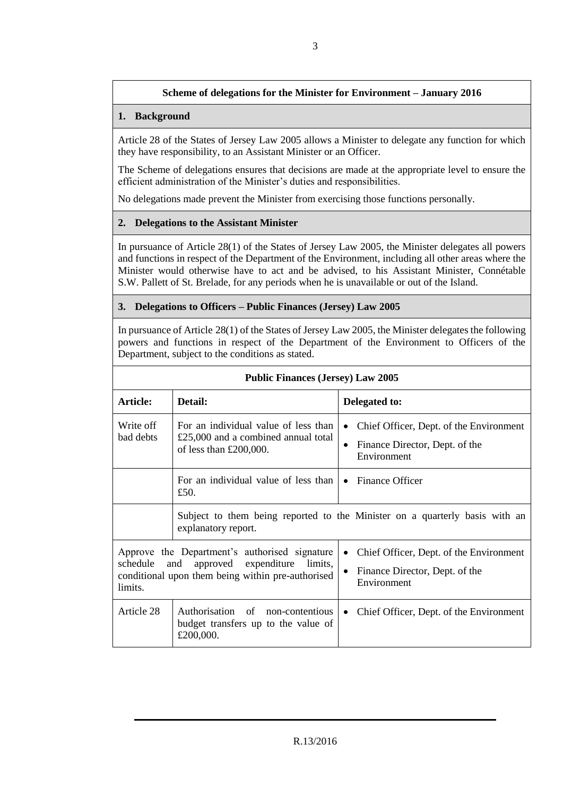# **Scheme of delegations for the Minister for Environment – January 2016**

### **1. Background**

Article 28 of the States of Jersey Law 2005 allows a Minister to delegate any function for which they have responsibility, to an Assistant Minister or an Officer.

The Scheme of delegations ensures that decisions are made at the appropriate level to ensure the efficient administration of the Minister's duties and responsibilities.

No delegations made prevent the Minister from exercising those functions personally.

### **2. Delegations to the Assistant Minister**

In pursuance of Article 28(1) of the States of Jersey Law 2005, the Minister delegates all powers and functions in respect of the Department of the Environment, including all other areas where the Minister would otherwise have to act and be advised, to his Assistant Minister, Connétable S.W. Pallett of St. Brelade, for any periods when he is unavailable or out of the Island.

### **3. Delegations to Officers – Public Finances (Jersey) Law 2005**

In pursuance of Article 28(1) of the States of Jersey Law 2005, the Minister delegates the following powers and functions in respect of the Department of the Environment to Officers of the Department, subject to the conditions as stated.

| <b>Public Finances (Jersey) Law 2005</b>                                                                                                                               |                                                                                                            |                                                                                                                    |
|------------------------------------------------------------------------------------------------------------------------------------------------------------------------|------------------------------------------------------------------------------------------------------------|--------------------------------------------------------------------------------------------------------------------|
| Article:                                                                                                                                                               | Detail:<br>Delegated to:                                                                                   |                                                                                                                    |
| Write off<br>bad debts                                                                                                                                                 | For an individual value of less than<br>$£25,000$ and a combined annual total<br>of less than $£200,000$ . | Chief Officer, Dept. of the Environment<br>$\bullet$<br>Finance Director, Dept. of the<br>$\bullet$<br>Environment |
|                                                                                                                                                                        | For an individual value of less than<br>£50.                                                               | <b>Finance Officer</b><br>$\bullet$                                                                                |
| Subject to them being reported to the Minister on a quarterly basis with an<br>explanatory report.                                                                     |                                                                                                            |                                                                                                                    |
| Approve the Department's authorised signature<br>schedule<br>and<br>expenditure<br>limits,<br>approved<br>conditional upon them being within pre-authorised<br>limits. |                                                                                                            | Chief Officer, Dept. of the Environment<br>$\bullet$<br>Finance Director, Dept. of the<br>$\bullet$<br>Environment |
| Article 28                                                                                                                                                             | Authorisation of non-contentious<br>budget transfers up to the value of<br>£200,000.                       | Chief Officer, Dept. of the Environment<br>$\bullet$                                                               |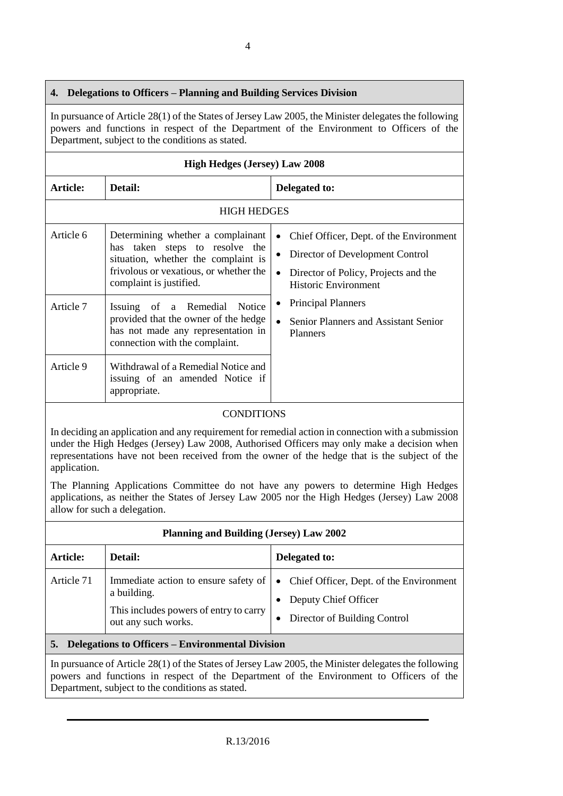## **4. Delegations to Officers – Planning and Building Services Division**

In pursuance of Article 28(1) of the States of Jersey Law 2005, the Minister delegates the following powers and functions in respect of the Department of the Environment to Officers of the Department, subject to the conditions as stated.

| <b>High Hedges (Jersey) Law 2008</b> |                                                                                                                                                                                 |                                                                                                                                                   |  |
|--------------------------------------|---------------------------------------------------------------------------------------------------------------------------------------------------------------------------------|---------------------------------------------------------------------------------------------------------------------------------------------------|--|
| Article:<br>Detail:                  |                                                                                                                                                                                 | Delegated to:                                                                                                                                     |  |
| <b>HIGH HEDGES</b>                   |                                                                                                                                                                                 |                                                                                                                                                   |  |
| Article 6                            | Determining whether a complainant<br>has taken steps to resolve the<br>situation, whether the complaint is<br>frivolous or vexatious, or whether the<br>complaint is justified. | Chief Officer, Dept. of the Environment<br>Director of Development Control<br>Director of Policy, Projects and the<br><b>Historic Environment</b> |  |
| Article 7                            | Issuing of a Remedial<br>Notice<br>provided that the owner of the hedge<br>has not made any representation in<br>connection with the complaint.                                 | <b>Principal Planners</b><br>Senior Planners and Assistant Senior<br><b>Planners</b>                                                              |  |
| Article 9                            | Withdrawal of a Remedial Notice and<br>issuing of an amended Notice if<br>appropriate.                                                                                          |                                                                                                                                                   |  |

#### CONDITIONS

In deciding an application and any requirement for remedial action in connection with a submission under the High Hedges (Jersey) Law 2008, Authorised Officers may only make a decision when representations have not been received from the owner of the hedge that is the subject of the application.

The Planning Applications Committee do not have any powers to determine High Hedges applications, as neither the States of Jersey Law 2005 nor the High Hedges (Jersey) Law 2008 allow for such a delegation.

| <b>Planning and Building (Jersey) Law 2002</b>                                                          |                                                                                                                      |                                                                                                                |
|---------------------------------------------------------------------------------------------------------|----------------------------------------------------------------------------------------------------------------------|----------------------------------------------------------------------------------------------------------------|
| <b>Article:</b>                                                                                         | Detail:                                                                                                              | Delegated to:                                                                                                  |
| Article 71                                                                                              | Immediate action to ensure safety of<br>a building.<br>This includes powers of entry to carry<br>out any such works. | • Chief Officer, Dept. of the Environment<br>Deputy Chief Officer<br>Director of Building Control<br>$\bullet$ |
| Delegations to Officers – Environmental Division<br>5.                                                  |                                                                                                                      |                                                                                                                |
| In purguance of Article $28(1)$ of the States of Jarcay Law $2005$ the Minister delegates the following |                                                                                                                      |                                                                                                                |

In pursuance of Article 28(1) of the States of Jersey Law 2005, the Minister delegates the following powers and functions in respect of the Department of the Environment to Officers of the Department, subject to the conditions as stated.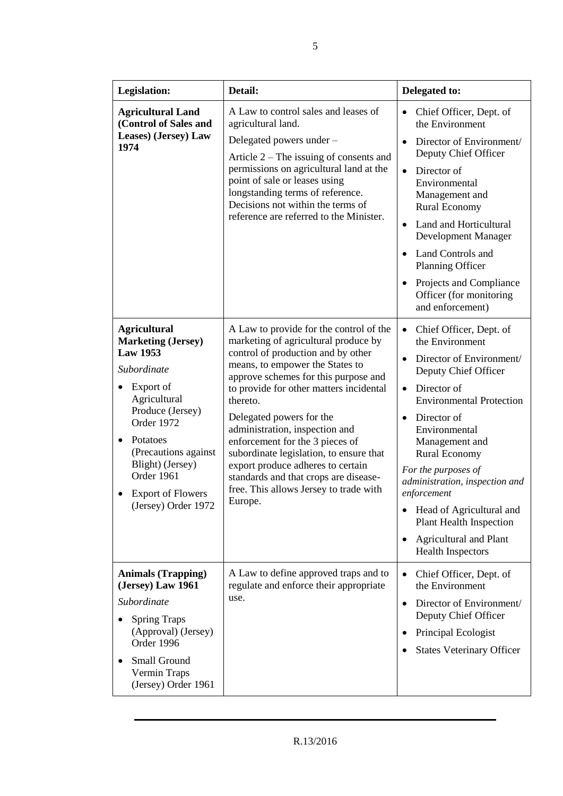| <b>Legislation:</b>                                                                                                                                                                                                                                                        | Detail:                                                                                                                                                                                                                                                                                                                                                                                                                                                                                                                                | Delegated to:                                                                                                                                                                                                                                                                                                                                                                                                                                                                                  |
|----------------------------------------------------------------------------------------------------------------------------------------------------------------------------------------------------------------------------------------------------------------------------|----------------------------------------------------------------------------------------------------------------------------------------------------------------------------------------------------------------------------------------------------------------------------------------------------------------------------------------------------------------------------------------------------------------------------------------------------------------------------------------------------------------------------------------|------------------------------------------------------------------------------------------------------------------------------------------------------------------------------------------------------------------------------------------------------------------------------------------------------------------------------------------------------------------------------------------------------------------------------------------------------------------------------------------------|
| <b>Agricultural Land</b><br>(Control of Sales and<br>Leases) (Jersey) Law<br>1974                                                                                                                                                                                          | A Law to control sales and leases of<br>agricultural land.<br>Delegated powers under -<br>Article $2$ – The issuing of consents and<br>permissions on agricultural land at the<br>point of sale or leases using<br>longstanding terms of reference.<br>Decisions not within the terms of<br>reference are referred to the Minister.                                                                                                                                                                                                    | Chief Officer, Dept. of<br>the Environment<br>Director of Environment/<br>Deputy Chief Officer<br>Director of<br>$\bullet$<br>Environmental<br>Management and<br><b>Rural Economy</b><br>Land and Horticultural<br>$\bullet$<br>Development Manager<br>Land Controls and<br>Planning Officer<br>Projects and Compliance<br>$\bullet$<br>Officer (for monitoring<br>and enforcement)                                                                                                            |
| <b>Agricultural</b><br><b>Marketing (Jersey)</b><br><b>Law 1953</b><br>Subordinate<br>Export of<br>Agricultural<br>Produce (Jersey)<br>Order 1972<br>Potatoes<br>(Precautions against<br>Blight) (Jersey)<br>Order 1961<br><b>Export of Flowers</b><br>(Jersey) Order 1972 | A Law to provide for the control of the<br>marketing of agricultural produce by<br>control of production and by other<br>means, to empower the States to<br>approve schemes for this purpose and<br>to provide for other matters incidental<br>thereto.<br>Delegated powers for the<br>administration, inspection and<br>enforcement for the 3 pieces of<br>subordinate legislation, to ensure that<br>export produce adheres to certain<br>standards and that crops are disease-<br>free. This allows Jersey to trade with<br>Europe. | Chief Officer, Dept. of<br>$\bullet$<br>the Environment<br>Director of Environment/<br>$\bullet$<br>Deputy Chief Officer<br>Director of<br>$\bullet$<br><b>Environmental Protection</b><br>Director of<br>$\bullet$<br>Environmental<br>Management and<br><b>Rural Economy</b><br>For the purposes of<br>administration, inspection and<br>enforcement<br>Head of Agricultural and<br><b>Plant Health Inspection</b><br><b>Agricultural and Plant</b><br>$\bullet$<br><b>Health Inspectors</b> |
| <b>Animals (Trapping)</b><br>(Jersey) Law 1961<br>Subordinate<br><b>Spring Traps</b><br>(Approval) (Jersey)<br>Order 1996<br>Small Ground<br>Vermin Traps<br>(Jersey) Order 1961                                                                                           | A Law to define approved traps and to<br>regulate and enforce their appropriate<br>use.                                                                                                                                                                                                                                                                                                                                                                                                                                                | Chief Officer, Dept. of<br>$\bullet$<br>the Environment<br>Director of Environment/<br>$\bullet$<br>Deputy Chief Officer<br>Principal Ecologist<br><b>States Veterinary Officer</b>                                                                                                                                                                                                                                                                                                            |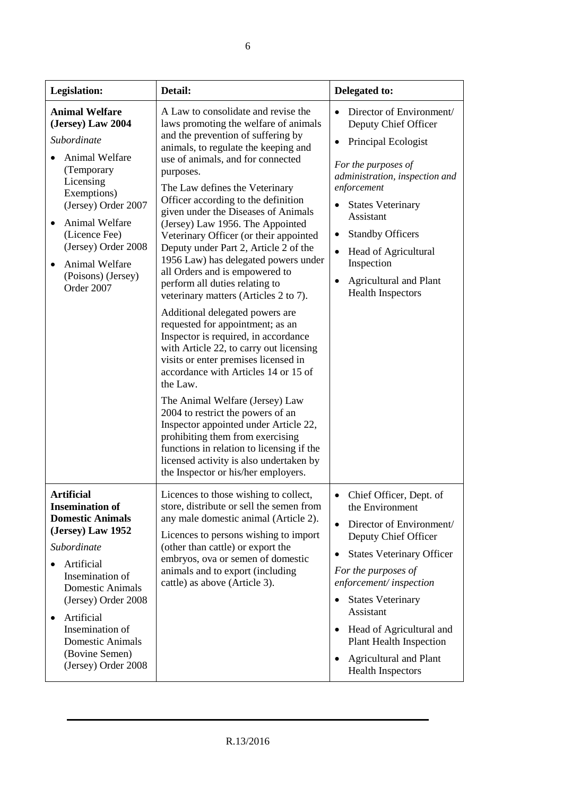| Legislation:                                                                                                                                                                                                                                                                                                    | Detail:                                                                                                                                                                                                                                                                                                                                                                                                                                                                                                                                                                                                                                                                                                                                                                                                                                                                                                                                                                                                                                                                                                                                            | Delegated to:                                                                                                                                                                                                                                                                                                                                                                                                            |
|-----------------------------------------------------------------------------------------------------------------------------------------------------------------------------------------------------------------------------------------------------------------------------------------------------------------|----------------------------------------------------------------------------------------------------------------------------------------------------------------------------------------------------------------------------------------------------------------------------------------------------------------------------------------------------------------------------------------------------------------------------------------------------------------------------------------------------------------------------------------------------------------------------------------------------------------------------------------------------------------------------------------------------------------------------------------------------------------------------------------------------------------------------------------------------------------------------------------------------------------------------------------------------------------------------------------------------------------------------------------------------------------------------------------------------------------------------------------------------|--------------------------------------------------------------------------------------------------------------------------------------------------------------------------------------------------------------------------------------------------------------------------------------------------------------------------------------------------------------------------------------------------------------------------|
| <b>Animal Welfare</b><br>(Jersey) Law 2004<br>Subordinate<br>Animal Welfare<br>(Temporary<br>Licensing<br>Exemptions)<br>(Jersey) Order 2007<br>Animal Welfare<br>(Licence Fee)<br>(Jersey) Order 2008<br>Animal Welfare<br>(Poisons) (Jersey)<br>Order 2007                                                    | A Law to consolidate and revise the<br>laws promoting the welfare of animals<br>and the prevention of suffering by<br>animals, to regulate the keeping and<br>use of animals, and for connected<br>purposes.<br>The Law defines the Veterinary<br>Officer according to the definition<br>given under the Diseases of Animals<br>(Jersey) Law 1956. The Appointed<br>Veterinary Officer (or their appointed<br>Deputy under Part 2, Article 2 of the<br>1956 Law) has delegated powers under<br>all Orders and is empowered to<br>perform all duties relating to<br>veterinary matters (Articles 2 to 7).<br>Additional delegated powers are<br>requested for appointment; as an<br>Inspector is required, in accordance<br>with Article 22, to carry out licensing<br>visits or enter premises licensed in<br>accordance with Articles 14 or 15 of<br>the Law.<br>The Animal Welfare (Jersey) Law<br>2004 to restrict the powers of an<br>Inspector appointed under Article 22,<br>prohibiting them from exercising<br>functions in relation to licensing if the<br>licensed activity is also undertaken by<br>the Inspector or his/her employers. | Director of Environment/<br>Deputy Chief Officer<br>Principal Ecologist<br>For the purposes of<br>administration, inspection and<br>enforcement<br><b>States Veterinary</b><br>$\bullet$<br>Assistant<br><b>Standby Officers</b><br>$\bullet$<br>$\bullet$<br>Head of Agricultural<br>Inspection<br><b>Agricultural and Plant</b><br>$\bullet$<br><b>Health Inspectors</b>                                               |
| <b>Artificial</b><br><b>Insemination of</b><br><b>Domestic Animals</b><br>(Jersey) Law 1952<br>Subordinate<br>Artificial<br>Insemination of<br><b>Domestic Animals</b><br>(Jersey) Order 2008<br>Artificial<br>$\bullet$<br>Insemination of<br><b>Domestic Animals</b><br>(Bovine Semen)<br>(Jersey) Order 2008 | Licences to those wishing to collect,<br>store, distribute or sell the semen from<br>any male domestic animal (Article 2).<br>Licences to persons wishing to import<br>(other than cattle) or export the<br>embryos, ova or semen of domestic<br>animals and to export (including<br>cattle) as above (Article 3).                                                                                                                                                                                                                                                                                                                                                                                                                                                                                                                                                                                                                                                                                                                                                                                                                                 | Chief Officer, Dept. of<br>$\bullet$<br>the Environment<br>Director of Environment/<br>$\bullet$<br>Deputy Chief Officer<br><b>States Veterinary Officer</b><br>$\bullet$<br>For the purposes of<br>enforcement/inspection<br><b>States Veterinary</b><br>Assistant<br>Head of Agricultural and<br>$\bullet$<br><b>Plant Health Inspection</b><br><b>Agricultural and Plant</b><br>$\bullet$<br><b>Health Inspectors</b> |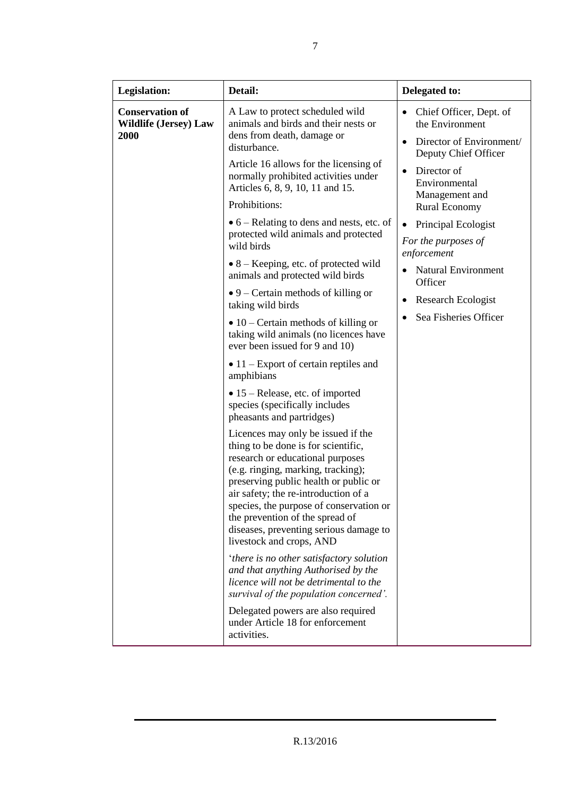| Legislation:                                                   | Detail:                                                                                                                                                                                                                                                                                                                                                                                  | Delegated to:                                                                                    |
|----------------------------------------------------------------|------------------------------------------------------------------------------------------------------------------------------------------------------------------------------------------------------------------------------------------------------------------------------------------------------------------------------------------------------------------------------------------|--------------------------------------------------------------------------------------------------|
| <b>Conservation of</b><br><b>Wildlife (Jersey) Law</b><br>2000 | A Law to protect scheduled wild<br>animals and birds and their nests or<br>dens from death, damage or<br>disturbance.                                                                                                                                                                                                                                                                    | Chief Officer, Dept. of<br>$\bullet$<br>the Environment<br>Director of Environment/<br>$\bullet$ |
|                                                                | Article 16 allows for the licensing of<br>normally prohibited activities under<br>Articles 6, 8, 9, 10, 11 and 15.                                                                                                                                                                                                                                                                       | Deputy Chief Officer<br>Director of<br>$\bullet$<br>Environmental<br>Management and              |
|                                                                | Prohibitions:                                                                                                                                                                                                                                                                                                                                                                            | <b>Rural Economy</b>                                                                             |
|                                                                | $\bullet$ 6 – Relating to dens and nests, etc. of<br>protected wild animals and protected<br>wild birds                                                                                                                                                                                                                                                                                  | Principal Ecologist<br>$\bullet$<br>For the purposes of<br>enforcement                           |
|                                                                | $\bullet$ 8 – Keeping, etc. of protected wild<br>animals and protected wild birds                                                                                                                                                                                                                                                                                                        | <b>Natural Environment</b><br>Officer                                                            |
|                                                                | $\bullet$ 9 – Certain methods of killing or<br>taking wild birds                                                                                                                                                                                                                                                                                                                         | Research Ecologist<br>$\bullet$                                                                  |
|                                                                | $\bullet$ 10 – Certain methods of killing or<br>taking wild animals (no licences have<br>ever been issued for 9 and 10)                                                                                                                                                                                                                                                                  | Sea Fisheries Officer                                                                            |
|                                                                | $\bullet$ 11 – Export of certain reptiles and<br>amphibians                                                                                                                                                                                                                                                                                                                              |                                                                                                  |
|                                                                | • 15 – Release, etc. of imported<br>species (specifically includes<br>pheasants and partridges)                                                                                                                                                                                                                                                                                          |                                                                                                  |
|                                                                | Licences may only be issued if the<br>thing to be done is for scientific,<br>research or educational purposes<br>(e.g. ringing, marking, tracking);<br>preserving public health or public or<br>air safety; the re-introduction of a<br>species, the purpose of conservation or<br>the prevention of the spread of<br>diseases, preventing serious damage to<br>livestock and crops, AND |                                                                                                  |
|                                                                | 'there is no other satisfactory solution<br>and that anything Authorised by the<br>licence will not be detrimental to the<br>survival of the population concerned'.                                                                                                                                                                                                                      |                                                                                                  |
|                                                                | Delegated powers are also required<br>under Article 18 for enforcement<br>activities.                                                                                                                                                                                                                                                                                                    |                                                                                                  |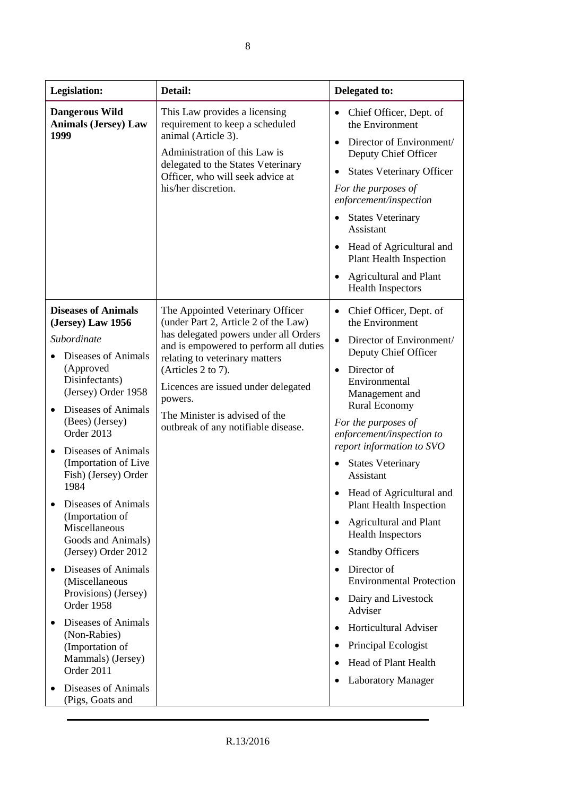| <b>Legislation:</b>                                                                                                                                                                                                                                                                                                                                                                                                                                                                                                                                                                  | Detail:                                                                                                                                                                                                                                                                                                                                        | Delegated to:                                                                                                                                                                                                                                                                                                                                                                                                                                                                                                                                                                                                                                                                                                        |
|--------------------------------------------------------------------------------------------------------------------------------------------------------------------------------------------------------------------------------------------------------------------------------------------------------------------------------------------------------------------------------------------------------------------------------------------------------------------------------------------------------------------------------------------------------------------------------------|------------------------------------------------------------------------------------------------------------------------------------------------------------------------------------------------------------------------------------------------------------------------------------------------------------------------------------------------|----------------------------------------------------------------------------------------------------------------------------------------------------------------------------------------------------------------------------------------------------------------------------------------------------------------------------------------------------------------------------------------------------------------------------------------------------------------------------------------------------------------------------------------------------------------------------------------------------------------------------------------------------------------------------------------------------------------------|
| <b>Dangerous Wild</b><br><b>Animals (Jersey) Law</b><br>1999                                                                                                                                                                                                                                                                                                                                                                                                                                                                                                                         | This Law provides a licensing<br>requirement to keep a scheduled<br>animal (Article 3).<br>Administration of this Law is<br>delegated to the States Veterinary<br>Officer, who will seek advice at<br>his/her discretion.                                                                                                                      | Chief Officer, Dept. of<br>the Environment<br>Director of Environment/<br>Deputy Chief Officer<br><b>States Veterinary Officer</b><br>$\bullet$<br>For the purposes of<br>enforcement/inspection<br><b>States Veterinary</b><br>Assistant<br>• Head of Agricultural and<br><b>Plant Health Inspection</b><br><b>Agricultural and Plant</b><br><b>Health Inspectors</b>                                                                                                                                                                                                                                                                                                                                               |
| <b>Diseases of Animals</b><br>(Jersey) Law 1956<br>Subordinate<br>Diseases of Animals<br>(Approved<br>Disinfectants)<br>(Jersey) Order 1958<br>Diseases of Animals<br>(Bees) (Jersey)<br>Order 2013<br>Diseases of Animals<br>(Importation of Live)<br>Fish) (Jersey) Order<br>1984<br>Diseases of Animals<br>(Importation of<br>Miscellaneous<br>Goods and Animals)<br>(Jersey) Order 2012<br>Diseases of Animals<br>$\bullet$<br>(Miscellaneous<br>Provisions) (Jersey)<br>Order 1958<br>Diseases of Animals<br>(Non-Rabies)<br>(Importation of<br>Mammals) (Jersey)<br>Order 2011 | The Appointed Veterinary Officer<br>(under Part 2, Article 2 of the Law)<br>has delegated powers under all Orders<br>and is empowered to perform all duties<br>relating to veterinary matters<br>(Articles 2 to 7).<br>Licences are issued under delegated<br>powers.<br>The Minister is advised of the<br>outbreak of any notifiable disease. | Chief Officer, Dept. of<br>the Environment<br>Director of Environment/<br>$\bullet$<br>Deputy Chief Officer<br>Director of<br>$\bullet$<br>Environmental<br>Management and<br><b>Rural Economy</b><br>For the purposes of<br>enforcement/inspection to<br>report information to SVO<br><b>States Veterinary</b><br>Assistant<br>• Head of Agricultural and<br><b>Plant Health Inspection</b><br><b>Agricultural and Plant</b><br>$\bullet$<br><b>Health Inspectors</b><br><b>Standby Officers</b><br>Director of<br>$\bullet$<br><b>Environmental Protection</b><br>Dairy and Livestock<br>Adviser<br>Horticultural Adviser<br>Principal Ecologist<br>Head of Plant Health<br><b>Laboratory Manager</b><br>$\bullet$ |
| Diseases of Animals<br>(Pigs, Goats and                                                                                                                                                                                                                                                                                                                                                                                                                                                                                                                                              |                                                                                                                                                                                                                                                                                                                                                |                                                                                                                                                                                                                                                                                                                                                                                                                                                                                                                                                                                                                                                                                                                      |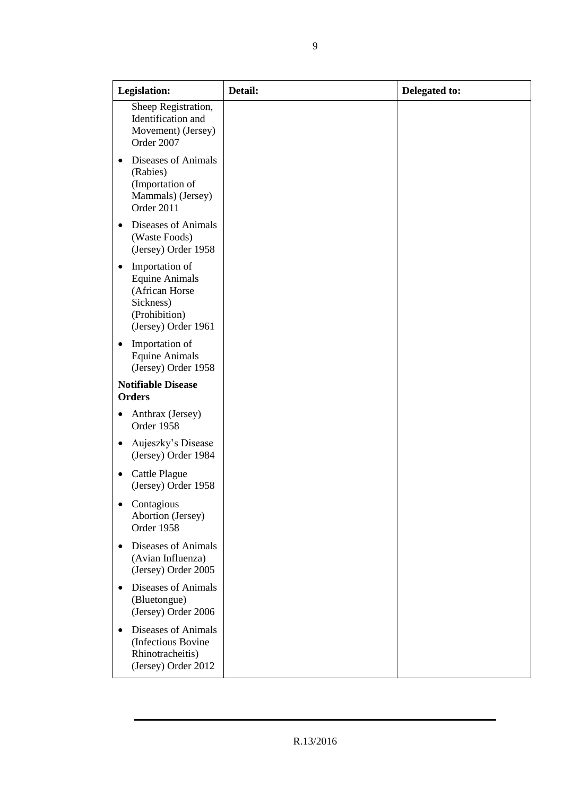| <b>Legislation:</b>                                                                                                 | Detail: | Delegated to: |
|---------------------------------------------------------------------------------------------------------------------|---------|---------------|
| Sheep Registration,<br>Identification and<br>Movement) (Jersey)<br>Order 2007                                       |         |               |
| Diseases of Animals<br>$\bullet$<br>(Rabies)<br>(Importation of<br>Mammals) (Jersey)<br>Order 2011                  |         |               |
| Diseases of Animals<br>$\bullet$<br>(Waste Foods)<br>(Jersey) Order 1958                                            |         |               |
| Importation of<br>٠<br><b>Equine Animals</b><br>(African Horse<br>Sickness)<br>(Prohibition)<br>(Jersey) Order 1961 |         |               |
| Importation of<br>$\bullet$<br><b>Equine Animals</b><br>(Jersey) Order 1958                                         |         |               |
| <b>Notifiable Disease</b><br><b>Orders</b>                                                                          |         |               |
| Anthrax (Jersey)<br>$\bullet$<br>Order 1958                                                                         |         |               |
| Aujeszky's Disease<br>٠<br>(Jersey) Order 1984                                                                      |         |               |
| <b>Cattle Plague</b><br>٠<br>(Jersey) Order 1958                                                                    |         |               |
| Contagious<br>Abortion (Jersey)<br>Order 1958                                                                       |         |               |
| Diseases of Animals<br>$\bullet$<br>(Avian Influenza)<br>(Jersey) Order 2005                                        |         |               |
| Diseases of Animals<br>$\bullet$<br>(Bluetongue)<br>(Jersey) Order 2006                                             |         |               |
| Diseases of Animals<br>$\bullet$<br>(Infectious Bovine<br>Rhinotracheitis)<br>(Jersey) Order 2012                   |         |               |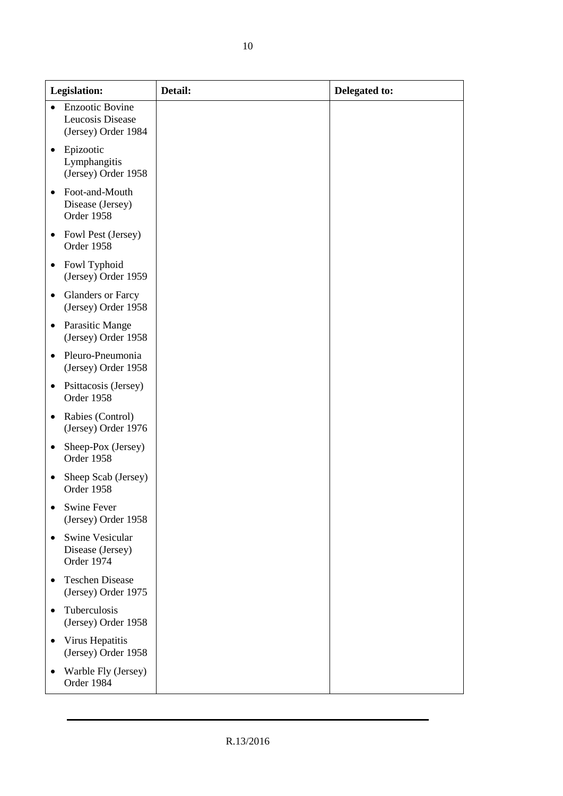| <b>Legislation:</b>                                                            | Detail: | Delegated to: |
|--------------------------------------------------------------------------------|---------|---------------|
| <b>Enzootic Bovine</b><br>$\bullet$<br>Leucosis Disease<br>(Jersey) Order 1984 |         |               |
| Epizootic<br>$\bullet$<br>Lymphangitis<br>(Jersey) Order 1958                  |         |               |
| Foot-and-Mouth<br>Disease (Jersey)<br>Order 1958                               |         |               |
| Fowl Pest (Jersey)<br>Order 1958                                               |         |               |
| Fowl Typhoid<br>$\bullet$<br>(Jersey) Order 1959                               |         |               |
| <b>Glanders or Farcy</b><br>$\bullet$<br>(Jersey) Order 1958                   |         |               |
| Parasitic Mange<br>$\bullet$<br>(Jersey) Order 1958                            |         |               |
| Pleuro-Pneumonia<br>(Jersey) Order 1958                                        |         |               |
| Psittacosis (Jersey)<br>$\bullet$<br>Order 1958                                |         |               |
| Rabies (Control)<br>(Jersey) Order 1976                                        |         |               |
| Sheep-Pox (Jersey)<br>٠<br>Order 1958                                          |         |               |
| Sheep Scab (Jersey)<br>Order 1958                                              |         |               |
| <b>Swine Fever</b><br>٠<br>(Jersey) Order 1958                                 |         |               |
| <b>Swine Vesicular</b><br>Disease (Jersey)<br>Order 1974                       |         |               |
| <b>Teschen Disease</b><br>(Jersey) Order 1975                                  |         |               |
| Tuberculosis<br>$\bullet$<br>(Jersey) Order 1958                               |         |               |
| Virus Hepatitis<br>(Jersey) Order 1958                                         |         |               |
| Warble Fly (Jersey)<br>Order 1984                                              |         |               |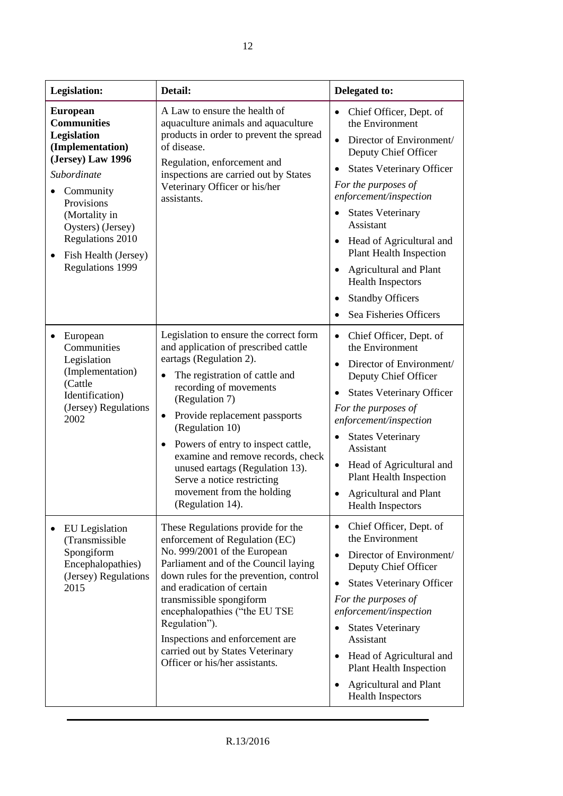| <b>Legislation:</b>                                                                                                                                                                                                                                  | Detail:                                                                                                                                                                                                                                                                                                                                                                                                                                                                         | Delegated to:                                                                                                                                                                                                                                                                                                                                                                                                                                                                 |
|------------------------------------------------------------------------------------------------------------------------------------------------------------------------------------------------------------------------------------------------------|---------------------------------------------------------------------------------------------------------------------------------------------------------------------------------------------------------------------------------------------------------------------------------------------------------------------------------------------------------------------------------------------------------------------------------------------------------------------------------|-------------------------------------------------------------------------------------------------------------------------------------------------------------------------------------------------------------------------------------------------------------------------------------------------------------------------------------------------------------------------------------------------------------------------------------------------------------------------------|
| <b>European</b><br><b>Communities</b><br>Legislation<br>(Implementation)<br>(Jersey) Law 1996<br>Subordinate<br>Community<br>Provisions<br>(Mortality in<br>Oysters) (Jersey)<br>Regulations 2010<br>Fish Health (Jersey)<br><b>Regulations 1999</b> | A Law to ensure the health of<br>aquaculture animals and aquaculture<br>products in order to prevent the spread<br>of disease.<br>Regulation, enforcement and<br>inspections are carried out by States<br>Veterinary Officer or his/her<br>assistants.                                                                                                                                                                                                                          | Chief Officer, Dept. of<br>the Environment<br>Director of Environment/<br>$\bullet$<br>Deputy Chief Officer<br><b>States Veterinary Officer</b><br>For the purposes of<br>enforcement/inspection<br><b>States Veterinary</b><br>$\bullet$<br>Assistant<br>Head of Agricultural and<br>$\bullet$<br><b>Plant Health Inspection</b><br><b>Agricultural and Plant</b><br>$\bullet$<br><b>Health Inspectors</b><br><b>Standby Officers</b><br>$\bullet$<br>Sea Fisheries Officers |
| European<br>$\bullet$<br>Communities<br>Legislation<br>(Implementation)<br>(Cattle<br>Identification)<br>(Jersey) Regulations<br>2002                                                                                                                | Legislation to ensure the correct form<br>and application of prescribed cattle<br>eartags (Regulation 2).<br>The registration of cattle and<br>$\bullet$<br>recording of movements<br>(Regulation 7)<br>Provide replacement passports<br>$\bullet$<br>(Regulation 10)<br>Powers of entry to inspect cattle,<br>$\bullet$<br>examine and remove records, check<br>unused eartags (Regulation 13).<br>Serve a notice restricting<br>movement from the holding<br>(Regulation 14). | Chief Officer, Dept. of<br>$\bullet$<br>the Environment<br>Director of Environment/<br>$\bullet$<br>Deputy Chief Officer<br><b>States Veterinary Officer</b><br>$\bullet$<br>For the purposes of<br>enforcement/inspection<br><b>States Veterinary</b><br>Assistant<br>Head of Agricultural and<br>$\bullet$<br><b>Plant Health Inspection</b><br><b>Agricultural and Plant</b><br><b>Health Inspectors</b>                                                                   |
| <b>EU</b> Legislation<br>(Transmissible)<br>Spongiform<br>Encephalopathies)<br>(Jersey) Regulations<br>2015                                                                                                                                          | These Regulations provide for the<br>enforcement of Regulation (EC)<br>No. 999/2001 of the European<br>Parliament and of the Council laying<br>down rules for the prevention, control<br>and eradication of certain<br>transmissible spongiform<br>encephalopathies ("the EU TSE<br>Regulation").<br>Inspections and enforcement are<br>carried out by States Veterinary<br>Officer or his/her assistants.                                                                      | Chief Officer, Dept. of<br>٠<br>the Environment<br>Director of Environment/<br>$\bullet$<br>Deputy Chief Officer<br><b>States Veterinary Officer</b><br>For the purposes of<br>enforcement/inspection<br><b>States Veterinary</b><br>$\bullet$<br>Assistant<br>Head of Agricultural and<br>$\bullet$<br><b>Plant Health Inspection</b><br>Agricultural and Plant<br>٠<br><b>Health Inspectors</b>                                                                             |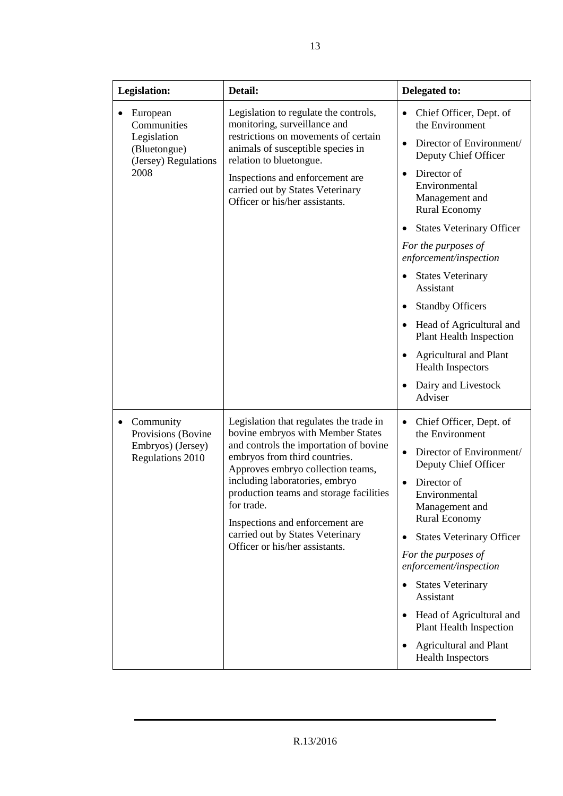| <b>Legislation:</b>                                 | Detail:                                                                                                                                                                                                                                    | Delegated to:                                                                       |
|-----------------------------------------------------|--------------------------------------------------------------------------------------------------------------------------------------------------------------------------------------------------------------------------------------------|-------------------------------------------------------------------------------------|
| European<br>Communities                             | Legislation to regulate the controls,<br>monitoring, surveillance and<br>restrictions on movements of certain<br>animals of susceptible species in<br>relation to bluetongue.                                                              | Chief Officer, Dept. of<br>the Environment                                          |
| Legislation<br>(Bluetongue)<br>(Jersey) Regulations |                                                                                                                                                                                                                                            | Director of Environment/<br>Deputy Chief Officer                                    |
| 2008                                                | Inspections and enforcement are<br>carried out by States Veterinary<br>Officer or his/her assistants.                                                                                                                                      | Director of<br>$\bullet$<br>Environmental<br>Management and<br><b>Rural Economy</b> |
|                                                     |                                                                                                                                                                                                                                            | <b>States Veterinary Officer</b>                                                    |
|                                                     |                                                                                                                                                                                                                                            | For the purposes of<br>enforcement/inspection                                       |
|                                                     |                                                                                                                                                                                                                                            | <b>States Veterinary</b><br>Assistant                                               |
|                                                     |                                                                                                                                                                                                                                            | <b>Standby Officers</b>                                                             |
|                                                     |                                                                                                                                                                                                                                            | Head of Agricultural and<br><b>Plant Health Inspection</b>                          |
|                                                     |                                                                                                                                                                                                                                            | <b>Agricultural and Plant</b><br><b>Health Inspectors</b>                           |
|                                                     |                                                                                                                                                                                                                                            | Dairy and Livestock<br>Adviser                                                      |
| Community<br>٠<br>Provisions (Bovine                | Legislation that regulates the trade in<br>bovine embryos with Member States                                                                                                                                                               | Chief Officer, Dept. of<br>$\bullet$<br>the Environment                             |
| Embryos) (Jersey)<br>Regulations 2010               | and controls the importation of bovine<br>embryos from third countries.<br>Approves embryo collection teams,<br>including laboratories, embryo<br>production teams and storage facilities<br>for trade.<br>Inspections and enforcement are | Director of Environment/<br>$\bullet$<br>Deputy Chief Officer                       |
|                                                     |                                                                                                                                                                                                                                            | Director of<br>Environmental<br>Management and<br><b>Rural Economy</b>              |
|                                                     | carried out by States Veterinary                                                                                                                                                                                                           | <b>States Veterinary Officer</b>                                                    |
|                                                     | Officer or his/her assistants.                                                                                                                                                                                                             | For the purposes of<br>enforcement/inspection                                       |
|                                                     |                                                                                                                                                                                                                                            | <b>States Veterinary</b><br>$\bullet$<br>Assistant                                  |
|                                                     |                                                                                                                                                                                                                                            | Head of Agricultural and<br><b>Plant Health Inspection</b>                          |
|                                                     |                                                                                                                                                                                                                                            | <b>Agricultural and Plant</b><br><b>Health Inspectors</b>                           |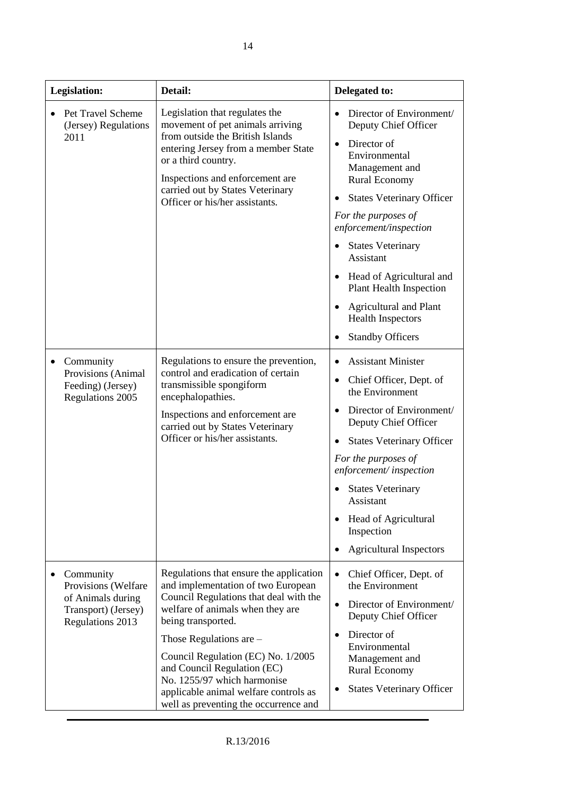| Legislation: |                                                                                                  | Detail:                                                                                                                                                                                                                                                                                                                                                                                              | Delegated to:                                                                                                                                                                                                                                                                                                                                                                                                                                         |
|--------------|--------------------------------------------------------------------------------------------------|------------------------------------------------------------------------------------------------------------------------------------------------------------------------------------------------------------------------------------------------------------------------------------------------------------------------------------------------------------------------------------------------------|-------------------------------------------------------------------------------------------------------------------------------------------------------------------------------------------------------------------------------------------------------------------------------------------------------------------------------------------------------------------------------------------------------------------------------------------------------|
|              | Pet Travel Scheme<br>(Jersey) Regulations<br>2011                                                | Legislation that regulates the<br>movement of pet animals arriving<br>from outside the British Islands<br>entering Jersey from a member State<br>or a third country.<br>Inspections and enforcement are<br>carried out by States Veterinary<br>Officer or his/her assistants.                                                                                                                        | Director of Environment/<br>Deputy Chief Officer<br>Director of<br>$\bullet$<br>Environmental<br>Management and<br><b>Rural Economy</b><br><b>States Veterinary Officer</b><br>$\bullet$<br>For the purposes of<br>enforcement/inspection<br><b>States Veterinary</b><br>Assistant<br>Head of Agricultural and<br><b>Plant Health Inspection</b><br><b>Agricultural and Plant</b><br>$\bullet$<br><b>Health Inspectors</b><br><b>Standby Officers</b> |
|              | Community<br>Provisions (Animal<br>Feeding) (Jersey)<br>Regulations 2005                         | Regulations to ensure the prevention,<br>control and eradication of certain<br>transmissible spongiform<br>encephalopathies.<br>Inspections and enforcement are<br>carried out by States Veterinary<br>Officer or his/her assistants.                                                                                                                                                                | <b>Assistant Minister</b><br>Chief Officer, Dept. of<br>$\bullet$<br>the Environment<br>Director of Environment/<br>$\bullet$<br>Deputy Chief Officer<br><b>States Veterinary Officer</b><br>For the purposes of<br>enforcement/inspection<br><b>States Veterinary</b><br>Assistant<br>Head of Agricultural<br>Inspection<br><b>Agricultural Inspectors</b>                                                                                           |
|              | Community<br>Provisions (Welfare<br>of Animals during<br>Transport) (Jersey)<br>Regulations 2013 | Regulations that ensure the application<br>and implementation of two European<br>Council Regulations that deal with the<br>welfare of animals when they are<br>being transported.<br>Those Regulations are $-$<br>Council Regulation (EC) No. 1/2005<br>and Council Regulation (EC)<br>No. 1255/97 which harmonise<br>applicable animal welfare controls as<br>well as preventing the occurrence and | Chief Officer, Dept. of<br>the Environment<br>Director of Environment/<br>$\bullet$<br>Deputy Chief Officer<br>Director of<br>$\bullet$<br>Environmental<br>Management and<br><b>Rural Economy</b><br><b>States Veterinary Officer</b>                                                                                                                                                                                                                |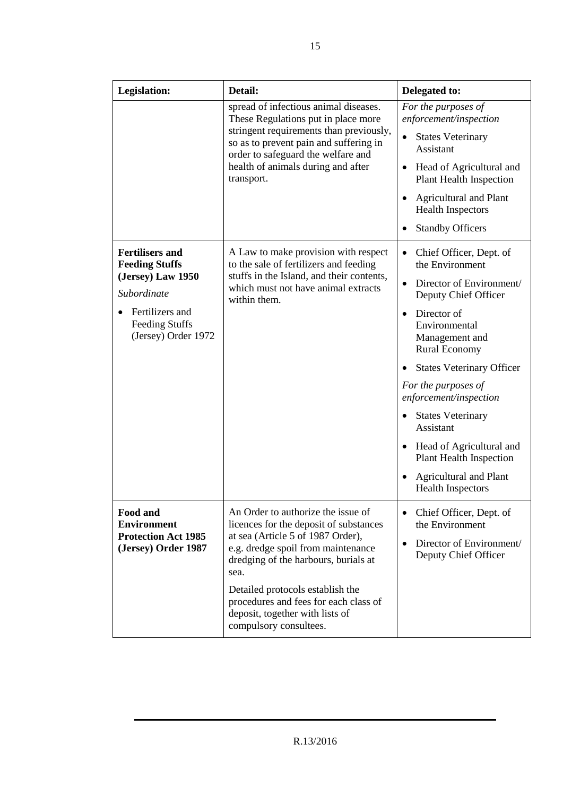| <b>Legislation:</b>                                                                 | Detail:                                                                                                                                                                                                 | Delegated to:                                                                                                            |
|-------------------------------------------------------------------------------------|---------------------------------------------------------------------------------------------------------------------------------------------------------------------------------------------------------|--------------------------------------------------------------------------------------------------------------------------|
|                                                                                     | spread of infectious animal diseases.<br>These Regulations put in place more                                                                                                                            | For the purposes of<br>enforcement/inspection                                                                            |
|                                                                                     | stringent requirements than previously,<br>so as to prevent pain and suffering in<br>order to safeguard the welfare and                                                                                 | <b>States Veterinary</b><br>Assistant                                                                                    |
|                                                                                     | health of animals during and after<br>transport.                                                                                                                                                        | Head of Agricultural and<br>$\bullet$<br><b>Plant Health Inspection</b>                                                  |
|                                                                                     |                                                                                                                                                                                                         | <b>Agricultural and Plant</b><br><b>Health Inspectors</b>                                                                |
|                                                                                     |                                                                                                                                                                                                         | <b>Standby Officers</b>                                                                                                  |
| <b>Fertilisers and</b><br><b>Feeding Stuffs</b>                                     | A Law to make provision with respect<br>to the sale of fertilizers and feeding                                                                                                                          | Chief Officer, Dept. of<br>$\bullet$<br>the Environment                                                                  |
| (Jersey) Law 1950<br>Subordinate                                                    | stuffs in the Island, and their contents,<br>which must not have animal extracts<br>within them.                                                                                                        | Director of Environment/<br>$\bullet$<br>Deputy Chief Officer                                                            |
| Fertilizers and<br>Feeding Stuffs<br>(Jersey) Order 1972                            |                                                                                                                                                                                                         | Director of<br>$\bullet$<br>Environmental<br>Management and<br><b>Rural Economy</b>                                      |
|                                                                                     |                                                                                                                                                                                                         | <b>States Veterinary Officer</b>                                                                                         |
|                                                                                     |                                                                                                                                                                                                         | For the purposes of<br>enforcement/inspection                                                                            |
|                                                                                     |                                                                                                                                                                                                         | <b>States Veterinary</b><br>Assistant                                                                                    |
|                                                                                     |                                                                                                                                                                                                         | Head of Agricultural and<br><b>Plant Health Inspection</b>                                                               |
|                                                                                     |                                                                                                                                                                                                         | <b>Agricultural and Plant</b><br><b>Health Inspectors</b>                                                                |
| Food and<br><b>Environment</b><br><b>Protection Act 1985</b><br>(Jersey) Order 1987 | An Order to authorize the issue of<br>licences for the deposit of substances<br>at sea (Article 5 of 1987 Order),<br>e.g. dredge spoil from maintenance<br>dredging of the harbours, burials at<br>sea. | Chief Officer, Dept. of<br>$\bullet$<br>the Environment<br>Director of Environment/<br>$\bullet$<br>Deputy Chief Officer |
|                                                                                     | Detailed protocols establish the<br>procedures and fees for each class of<br>deposit, together with lists of<br>compulsory consultees.                                                                  |                                                                                                                          |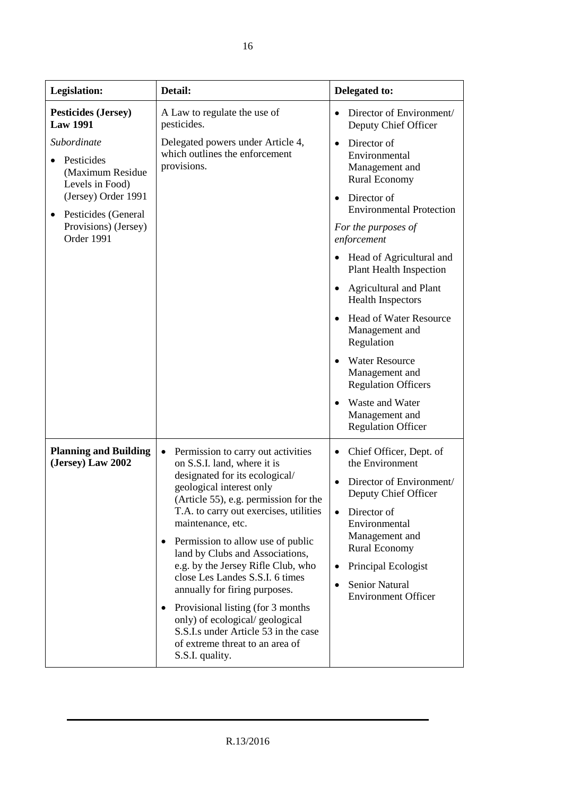| Legislation:                                                     | Detail:                                                                                                                                                                                                                                                                                                                                                                                                                                                                                                                                                                                                      | Delegated to:                                                                                                                                                                                                                                                                          |
|------------------------------------------------------------------|--------------------------------------------------------------------------------------------------------------------------------------------------------------------------------------------------------------------------------------------------------------------------------------------------------------------------------------------------------------------------------------------------------------------------------------------------------------------------------------------------------------------------------------------------------------------------------------------------------------|----------------------------------------------------------------------------------------------------------------------------------------------------------------------------------------------------------------------------------------------------------------------------------------|
| <b>Pesticides (Jersey)</b><br><b>Law 1991</b>                    | A Law to regulate the use of<br>pesticides.                                                                                                                                                                                                                                                                                                                                                                                                                                                                                                                                                                  | Director of Environment/<br>Deputy Chief Officer                                                                                                                                                                                                                                       |
| Subordinate<br>Pesticides<br>(Maximum Residue<br>Levels in Food) | Delegated powers under Article 4,<br>which outlines the enforcement<br>provisions.                                                                                                                                                                                                                                                                                                                                                                                                                                                                                                                           | Director of<br>$\bullet$<br>Environmental<br>Management and<br><b>Rural Economy</b>                                                                                                                                                                                                    |
| (Jersey) Order 1991<br>Pesticides (General<br>٠                  |                                                                                                                                                                                                                                                                                                                                                                                                                                                                                                                                                                                                              | Director of<br>$\bullet$<br><b>Environmental Protection</b>                                                                                                                                                                                                                            |
| Provisions) (Jersey)<br>Order 1991                               |                                                                                                                                                                                                                                                                                                                                                                                                                                                                                                                                                                                                              | For the purposes of<br>enforcement                                                                                                                                                                                                                                                     |
|                                                                  |                                                                                                                                                                                                                                                                                                                                                                                                                                                                                                                                                                                                              | Head of Agricultural and<br><b>Plant Health Inspection</b>                                                                                                                                                                                                                             |
|                                                                  |                                                                                                                                                                                                                                                                                                                                                                                                                                                                                                                                                                                                              | <b>Agricultural and Plant</b><br>$\bullet$<br><b>Health Inspectors</b>                                                                                                                                                                                                                 |
|                                                                  |                                                                                                                                                                                                                                                                                                                                                                                                                                                                                                                                                                                                              | <b>Head of Water Resource</b><br>$\bullet$<br>Management and<br>Regulation                                                                                                                                                                                                             |
|                                                                  |                                                                                                                                                                                                                                                                                                                                                                                                                                                                                                                                                                                                              | <b>Water Resource</b><br>Management and<br><b>Regulation Officers</b>                                                                                                                                                                                                                  |
|                                                                  |                                                                                                                                                                                                                                                                                                                                                                                                                                                                                                                                                                                                              | Waste and Water<br>Management and<br><b>Regulation Officer</b>                                                                                                                                                                                                                         |
| <b>Planning and Building</b><br>(Jersey) Law 2002                | Permission to carry out activities<br>on S.S.I. land, where it is<br>designated for its ecological/<br>geological interest only<br>(Article 55), e.g. permission for the<br>T.A. to carry out exercises, utilities<br>maintenance, etc.<br>Permission to allow use of public<br>$\bullet$<br>land by Clubs and Associations,<br>e.g. by the Jersey Rifle Club, who<br>close Les Landes S.S.I. 6 times<br>annually for firing purposes.<br>Provisional listing (for 3 months)<br>only) of ecological/geological<br>S.S.I.s under Article 53 in the case<br>of extreme threat to an area of<br>S.S.I. quality. | Chief Officer, Dept. of<br>$\bullet$<br>the Environment<br>Director of Environment/<br>Deputy Chief Officer<br>Director of<br>$\bullet$<br>Environmental<br>Management and<br><b>Rural Economy</b><br>Principal Ecologist<br>$\bullet$<br>Senior Natural<br><b>Environment Officer</b> |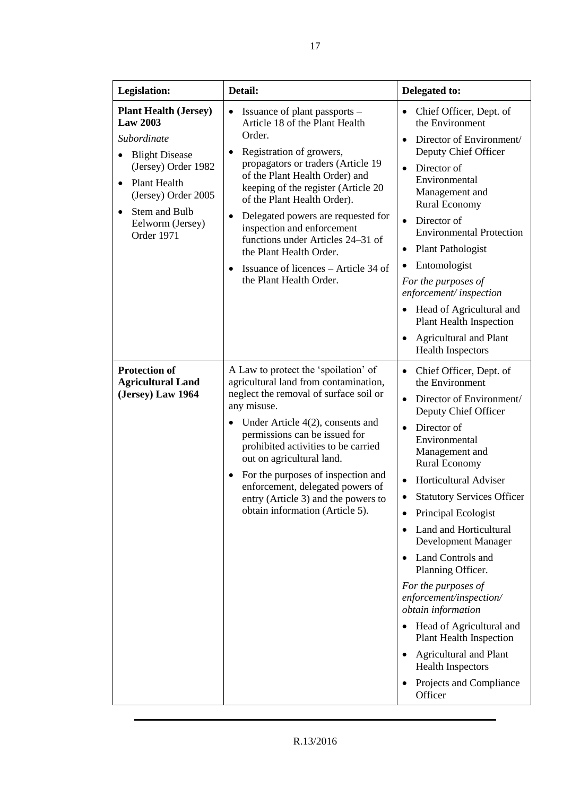| Legislation:                                                                                                                                                                                                                              | Detail:                                                                                                                                                                                                                                                                                                                                                                                                                                                    | Delegated to:                                                                                                                                                                                                                                                                                                                                                                                                                                                                                                                                                                                                                                                                   |
|-------------------------------------------------------------------------------------------------------------------------------------------------------------------------------------------------------------------------------------------|------------------------------------------------------------------------------------------------------------------------------------------------------------------------------------------------------------------------------------------------------------------------------------------------------------------------------------------------------------------------------------------------------------------------------------------------------------|---------------------------------------------------------------------------------------------------------------------------------------------------------------------------------------------------------------------------------------------------------------------------------------------------------------------------------------------------------------------------------------------------------------------------------------------------------------------------------------------------------------------------------------------------------------------------------------------------------------------------------------------------------------------------------|
| <b>Plant Health (Jersey)</b><br><b>Law 2003</b><br>Subordinate<br><b>Blight Disease</b><br>(Jersey) Order 1982<br>Plant Health<br>$\bullet$<br>(Jersey) Order 2005<br>Stem and Bulb<br>$\bullet$<br>Eelworm (Jersey)<br><b>Order 1971</b> | Issuance of plant passports –<br>Article 18 of the Plant Health<br>Order.<br>Registration of growers,<br>propagators or traders (Article 19<br>of the Plant Health Order) and<br>keeping of the register (Article 20<br>of the Plant Health Order).<br>Delegated powers are requested for<br>inspection and enforcement<br>functions under Articles 24–31 of<br>the Plant Health Order.<br>Issuance of licences – Article 34 of<br>the Plant Health Order. | Chief Officer, Dept. of<br>the Environment<br>Director of Environment/<br>$\bullet$<br>Deputy Chief Officer<br>Director of<br>$\bullet$<br>Environmental<br>Management and<br><b>Rural Economy</b><br>Director of<br><b>Environmental Protection</b><br><b>Plant Pathologist</b><br>٠<br>Entomologist<br>For the purposes of<br>enforcement/inspection<br>Head of Agricultural and<br><b>Plant Health Inspection</b><br><b>Agricultural and Plant</b><br><b>Health Inspectors</b>                                                                                                                                                                                               |
| <b>Protection of</b><br><b>Agricultural Land</b><br>(Jersey) Law 1964                                                                                                                                                                     | A Law to protect the 'spoilation' of<br>agricultural land from contamination,<br>neglect the removal of surface soil or<br>any misuse.<br>Under Article $4(2)$ , consents and<br>permissions can be issued for<br>prohibited activities to be carried<br>out on agricultural land.<br>For the purposes of inspection and<br>enforcement, delegated powers of<br>entry (Article 3) and the powers to<br>obtain information (Article 5).                     | Chief Officer, Dept. of<br>$\bullet$<br>the Environment<br>Director of Environment/<br>$\bullet$<br>Deputy Chief Officer<br>Director of<br>$\bullet$<br>Environmental<br>Management and<br><b>Rural Economy</b><br>Horticultural Adviser<br><b>Statutory Services Officer</b><br>Principal Ecologist<br>Land and Horticultural<br>Development Manager<br>Land Controls and<br>$\bullet$<br>Planning Officer.<br>For the purposes of<br>enforcement/inspection/<br>obtain information<br>Head of Agricultural and<br><b>Plant Health Inspection</b><br><b>Agricultural and Plant</b><br>$\bullet$<br><b>Health Inspectors</b><br>Projects and Compliance<br>$\bullet$<br>Officer |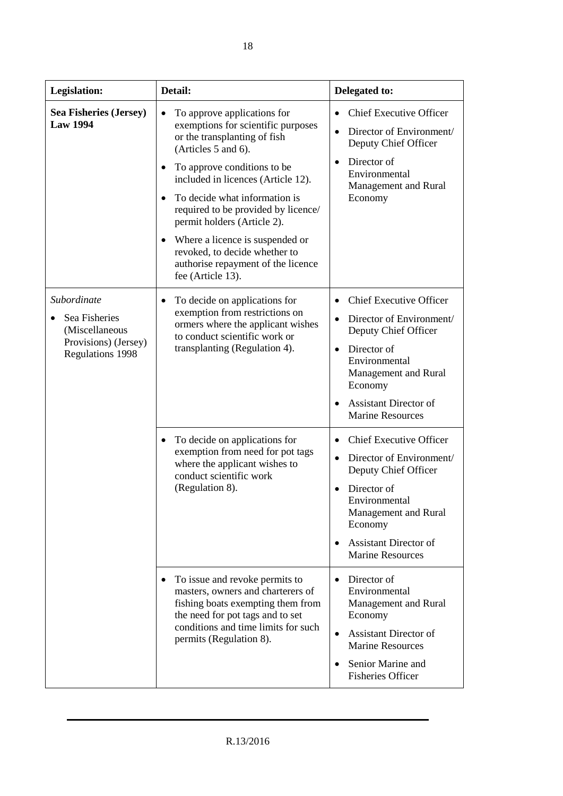| <b>Legislation:</b>                                                                               | Detail:                                                                                                                                                                                                                                                                                                                                                                                                                                          | Delegated to:                                                                                                                                                                                                                              |
|---------------------------------------------------------------------------------------------------|--------------------------------------------------------------------------------------------------------------------------------------------------------------------------------------------------------------------------------------------------------------------------------------------------------------------------------------------------------------------------------------------------------------------------------------------------|--------------------------------------------------------------------------------------------------------------------------------------------------------------------------------------------------------------------------------------------|
| <b>Sea Fisheries (Jersey)</b><br><b>Law 1994</b>                                                  | To approve applications for<br>exemptions for scientific purposes<br>or the transplanting of fish<br>(Articles 5 and 6).<br>To approve conditions to be<br>included in licences (Article 12).<br>To decide what information is<br>required to be provided by licence/<br>permit holders (Article 2).<br>Where a licence is suspended or<br>$\bullet$<br>revoked, to decide whether to<br>authorise repayment of the licence<br>fee (Article 13). | <b>Chief Executive Officer</b><br>Director of Environment/<br>Deputy Chief Officer<br>Director of<br>$\bullet$<br>Environmental<br>Management and Rural<br>Economy                                                                         |
| Subordinate<br>Sea Fisheries<br>(Miscellaneous<br>Provisions) (Jersey)<br><b>Regulations 1998</b> | To decide on applications for<br>exemption from restrictions on<br>ormers where the applicant wishes<br>to conduct scientific work or<br>transplanting (Regulation 4).                                                                                                                                                                                                                                                                           | <b>Chief Executive Officer</b><br>Director of Environment/<br>$\bullet$<br>Deputy Chief Officer<br>Director of<br>$\bullet$<br>Environmental<br>Management and Rural<br>Economy<br><b>Assistant Director of</b><br><b>Marine Resources</b> |
|                                                                                                   | To decide on applications for<br>$\bullet$<br>exemption from need for pot tags<br>$\bullet$<br>where the applicant wishes to<br>conduct scientific work<br>(Regulation 8).<br>Director of<br>Economy                                                                                                                                                                                                                                             | <b>Chief Executive Officer</b><br>Director of Environment/<br>Deputy Chief Officer<br>Environmental<br>Management and Rural<br><b>Assistant Director of</b><br><b>Marine Resources</b>                                                     |
|                                                                                                   | To issue and revoke permits to<br>masters, owners and charterers of<br>fishing boats exempting them from<br>the need for pot tags and to set<br>conditions and time limits for such<br>permits (Regulation 8).                                                                                                                                                                                                                                   | Director of<br>$\bullet$<br>Environmental<br>Management and Rural<br>Economy<br><b>Assistant Director of</b><br>$\bullet$<br><b>Marine Resources</b><br>Senior Marine and<br>$\bullet$<br><b>Fisheries Officer</b>                         |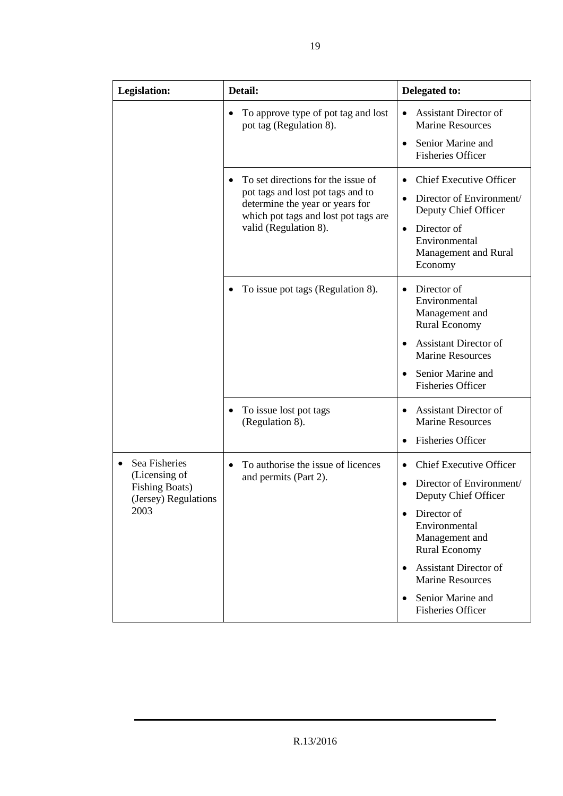| <b>Legislation:</b>                                                                                  | Detail:                                                                                                                                                                     | Delegated to:                                                                                                                                                                                                                                                     |
|------------------------------------------------------------------------------------------------------|-----------------------------------------------------------------------------------------------------------------------------------------------------------------------------|-------------------------------------------------------------------------------------------------------------------------------------------------------------------------------------------------------------------------------------------------------------------|
|                                                                                                      | To approve type of pot tag and lost<br>pot tag (Regulation 8).                                                                                                              | <b>Assistant Director of</b><br><b>Marine Resources</b><br>Senior Marine and<br><b>Fisheries Officer</b>                                                                                                                                                          |
|                                                                                                      | To set directions for the issue of<br>pot tags and lost pot tags and to<br>determine the year or years for<br>which pot tags and lost pot tags are<br>valid (Regulation 8). | <b>Chief Executive Officer</b><br>Director of Environment/<br>Deputy Chief Officer<br>Director of<br>$\bullet$<br>Environmental<br>Management and Rural<br>Economy                                                                                                |
|                                                                                                      | To issue pot tags (Regulation 8).                                                                                                                                           | Director of<br>$\bullet$<br>Environmental<br>Management and<br><b>Rural Economy</b><br><b>Assistant Director of</b><br><b>Marine Resources</b><br>Senior Marine and<br>$\bullet$<br><b>Fisheries Officer</b>                                                      |
|                                                                                                      | To issue lost pot tags<br>(Regulation 8).                                                                                                                                   | <b>Assistant Director of</b><br><b>Marine Resources</b><br><b>Fisheries Officer</b>                                                                                                                                                                               |
| Sea Fisheries<br>$\bullet$<br>(Licensing of<br><b>Fishing Boats)</b><br>(Jersey) Regulations<br>2003 | To authorise the issue of licences<br>and permits (Part 2).                                                                                                                 | <b>Chief Executive Officer</b><br>Director of Environment/<br>Deputy Chief Officer<br>Director of<br>Environmental<br>Management and<br>Rural Economy<br><b>Assistant Director of</b><br><b>Marine Resources</b><br>Senior Marine and<br><b>Fisheries Officer</b> |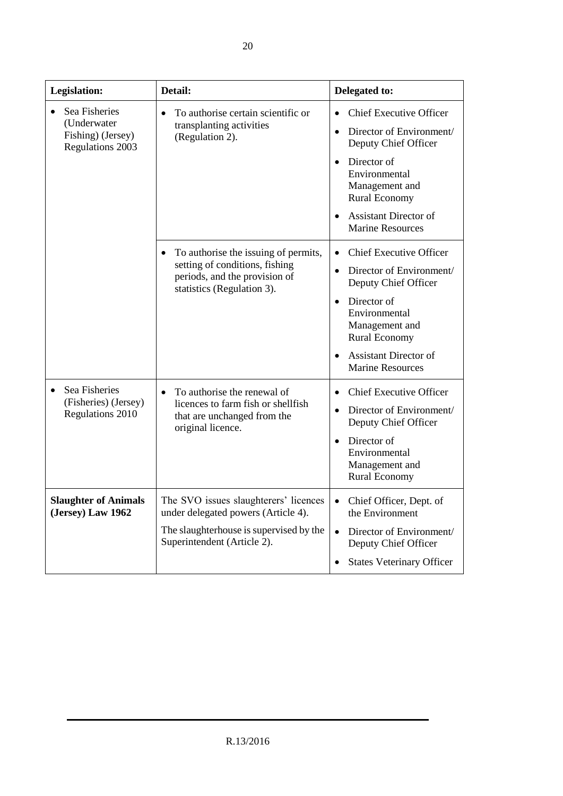| Legislation:                                                          | Detail:                                                                                                                                                | Delegated to:                                                                                                                                                                                                                                                  |
|-----------------------------------------------------------------------|--------------------------------------------------------------------------------------------------------------------------------------------------------|----------------------------------------------------------------------------------------------------------------------------------------------------------------------------------------------------------------------------------------------------------------|
| Sea Fisheries<br>(Underwater<br>Fishing) (Jersey)<br>Regulations 2003 | To authorise certain scientific or<br>$\bullet$<br>transplanting activities<br>(Regulation 2).                                                         | <b>Chief Executive Officer</b><br>Director of Environment/<br>$\bullet$<br>Deputy Chief Officer<br>Director of<br>$\bullet$<br>Environmental<br>Management and<br><b>Rural Economy</b><br><b>Assistant Director of</b><br><b>Marine Resources</b>              |
|                                                                       | To authorise the issuing of permits,<br>setting of conditions, fishing<br>periods, and the provision of<br>statistics (Regulation 3).                  | <b>Chief Executive Officer</b><br>Director of Environment/<br>$\bullet$<br>Deputy Chief Officer<br>Director of<br>$\bullet$<br>Environmental<br>Management and<br><b>Rural Economy</b><br><b>Assistant Director of</b><br>$\bullet$<br><b>Marine Resources</b> |
| Sea Fisheries<br>(Fisheries) (Jersey)<br><b>Regulations 2010</b>      | To authorise the renewal of<br>$\bullet$<br>licences to farm fish or shellfish<br>that are unchanged from the<br>original licence.                     | <b>Chief Executive Officer</b><br>$\bullet$<br>Director of Environment/<br>$\bullet$<br>Deputy Chief Officer<br>Director of<br>$\bullet$<br>Environmental<br>Management and<br><b>Rural Economy</b>                                                            |
| <b>Slaughter of Animals</b><br>(Jersey) Law 1962                      | The SVO issues slaughterers' licences<br>under delegated powers (Article 4).<br>The slaughterhouse is supervised by the<br>Superintendent (Article 2). | Chief Officer, Dept. of<br>$\bullet$<br>the Environment<br>Director of Environment/<br>$\bullet$<br>Deputy Chief Officer<br><b>States Veterinary Officer</b>                                                                                                   |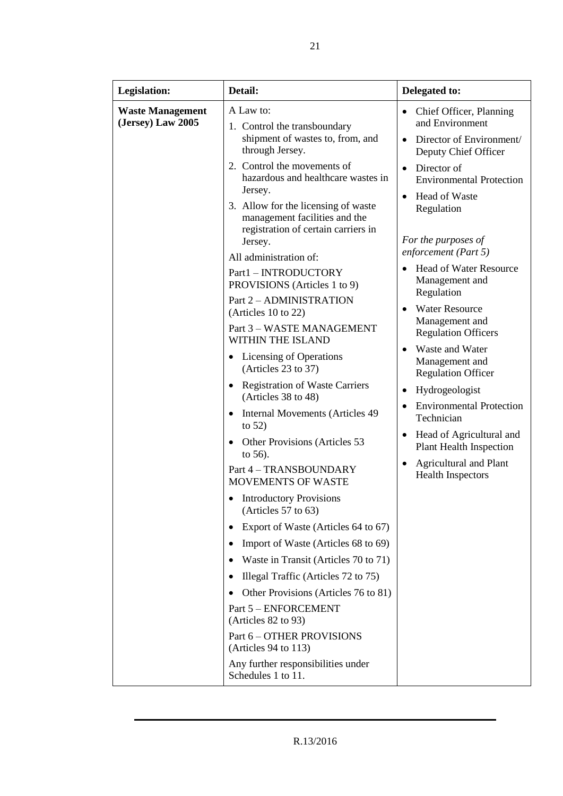| <b>Legislation:</b>                          | Detail:                                                                                                                                                                                                                                                                                                                                                                                                                                                                                                                                                                                                                                                                                                                                                                                                                                                                                                                                                                                                              | Delegated to:                                                                                                                                                                                                                                                                                                                                                                                                                                                                                                                                                                                                                            |
|----------------------------------------------|----------------------------------------------------------------------------------------------------------------------------------------------------------------------------------------------------------------------------------------------------------------------------------------------------------------------------------------------------------------------------------------------------------------------------------------------------------------------------------------------------------------------------------------------------------------------------------------------------------------------------------------------------------------------------------------------------------------------------------------------------------------------------------------------------------------------------------------------------------------------------------------------------------------------------------------------------------------------------------------------------------------------|------------------------------------------------------------------------------------------------------------------------------------------------------------------------------------------------------------------------------------------------------------------------------------------------------------------------------------------------------------------------------------------------------------------------------------------------------------------------------------------------------------------------------------------------------------------------------------------------------------------------------------------|
| <b>Waste Management</b><br>(Jersey) Law 2005 | A Law to:<br>1. Control the transboundary<br>shipment of wastes to, from, and<br>through Jersey.                                                                                                                                                                                                                                                                                                                                                                                                                                                                                                                                                                                                                                                                                                                                                                                                                                                                                                                     | Chief Officer, Planning<br>$\bullet$<br>and Environment<br>Director of Environment/<br>$\bullet$<br>Deputy Chief Officer                                                                                                                                                                                                                                                                                                                                                                                                                                                                                                                 |
|                                              | 2. Control the movements of<br>hazardous and healthcare wastes in<br>Jersey.<br>3. Allow for the licensing of waste<br>management facilities and the<br>registration of certain carriers in<br>Jersey.<br>All administration of:<br>Part1 - INTRODUCTORY<br>PROVISIONS (Articles 1 to 9)<br>Part 2 - ADMINISTRATION<br>(Articles 10 to 22)<br>Part 3 - WASTE MANAGEMENT<br>WITHIN THE ISLAND<br>Licensing of Operations<br>(Articles 23 to 37)<br><b>Registration of Waste Carriers</b><br>(Articles 38 to 48)<br>Internal Movements (Articles 49)<br>to $52)$<br>Other Provisions (Articles 53<br>to 56).<br>Part 4 - TRANSBOUNDARY<br><b>MOVEMENTS OF WASTE</b><br><b>Introductory Provisions</b><br>$\bullet$<br>(Articles $57$ to $63$ )<br>Export of Waste (Articles 64 to 67)<br>٠<br>Import of Waste (Articles 68 to 69)<br>٠<br>Waste in Transit (Articles 70 to 71)<br>Illegal Traffic (Articles 72 to 75)<br>٠<br>Other Provisions (Articles 76 to 81)<br>Part 5 - ENFORCEMENT<br>(Articles $82$ to $93$ ) | Director of<br>$\bullet$<br><b>Environmental Protection</b><br><b>Head of Waste</b><br>$\bullet$<br>Regulation<br>For the purposes of<br>enforcement (Part 5)<br><b>Head of Water Resource</b><br>Management and<br>Regulation<br><b>Water Resource</b><br>$\bullet$<br>Management and<br><b>Regulation Officers</b><br>Waste and Water<br>$\bullet$<br>Management and<br><b>Regulation Officer</b><br>Hydrogeologist<br><b>Environmental Protection</b><br>$\bullet$<br>Technician<br>Head of Agricultural and<br>$\bullet$<br><b>Plant Health Inspection</b><br><b>Agricultural and Plant</b><br>$\bullet$<br><b>Health Inspectors</b> |
|                                              | Part 6 - OTHER PROVISIONS<br>(Articles $94$ to 113)<br>Any further responsibilities under<br>Schedules 1 to 11.                                                                                                                                                                                                                                                                                                                                                                                                                                                                                                                                                                                                                                                                                                                                                                                                                                                                                                      |                                                                                                                                                                                                                                                                                                                                                                                                                                                                                                                                                                                                                                          |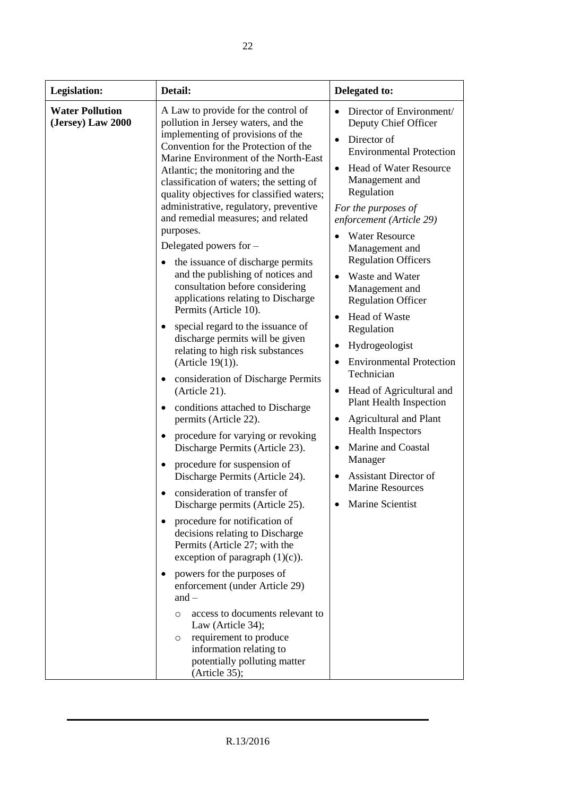| <b>Legislation:</b>                         | Detail:                                                                                                                                                                                                                                                                                                                                                                                                                                                                                                                                                                                                                                                                                                                                                                                                                                                                                                                                                                                                            | Delegated to:                                                                                                                                                                                                                                                                                                                                                                                                                                                   |
|---------------------------------------------|--------------------------------------------------------------------------------------------------------------------------------------------------------------------------------------------------------------------------------------------------------------------------------------------------------------------------------------------------------------------------------------------------------------------------------------------------------------------------------------------------------------------------------------------------------------------------------------------------------------------------------------------------------------------------------------------------------------------------------------------------------------------------------------------------------------------------------------------------------------------------------------------------------------------------------------------------------------------------------------------------------------------|-----------------------------------------------------------------------------------------------------------------------------------------------------------------------------------------------------------------------------------------------------------------------------------------------------------------------------------------------------------------------------------------------------------------------------------------------------------------|
| <b>Water Pollution</b><br>(Jersey) Law 2000 | A Law to provide for the control of<br>pollution in Jersey waters, and the<br>implementing of provisions of the<br>Convention for the Protection of the<br>Marine Environment of the North-East<br>Atlantic; the monitoring and the<br>classification of waters; the setting of<br>quality objectives for classified waters;<br>administrative, regulatory, preventive<br>and remedial measures; and related<br>purposes.<br>Delegated powers for $-$<br>the issuance of discharge permits                                                                                                                                                                                                                                                                                                                                                                                                                                                                                                                         | Director of Environment/<br>Deputy Chief Officer<br>Director of<br>$\bullet$<br><b>Environmental Protection</b><br><b>Head of Water Resource</b><br>$\bullet$<br>Management and<br>Regulation<br>For the purposes of<br>enforcement (Article 29)<br><b>Water Resource</b><br>Management and<br><b>Regulation Officers</b>                                                                                                                                       |
|                                             | and the publishing of notices and<br>consultation before considering<br>applications relating to Discharge<br>Permits (Article 10).<br>special regard to the issuance of<br>discharge permits will be given<br>relating to high risk substances<br>(Article $19(1)$ ).<br>consideration of Discharge Permits<br>(Article 21).<br>conditions attached to Discharge<br>permits (Article 22).<br>procedure for varying or revoking<br>Discharge Permits (Article 23).<br>procedure for suspension of<br>Discharge Permits (Article 24).<br>consideration of transfer of<br>Discharge permits (Article 25).<br>procedure for notification of<br>decisions relating to Discharge<br>Permits (Article 27; with the<br>exception of paragraph $(1)(c)$ ).<br>powers for the purposes of<br>enforcement (under Article 29)<br>and $-$<br>access to documents relevant to<br>$\Omega$<br>Law (Article 34);<br>requirement to produce<br>$\circ$<br>information relating to<br>potentially polluting matter<br>(Article 35); | Waste and Water<br>Management and<br><b>Regulation Officer</b><br>Head of Waste<br>$\bullet$<br>Regulation<br>Hydrogeologist<br><b>Environmental Protection</b><br>Technician<br>Head of Agricultural and<br>$\bullet$<br><b>Plant Health Inspection</b><br><b>Agricultural and Plant</b><br>$\bullet$<br><b>Health Inspectors</b><br>Marine and Coastal<br>$\bullet$<br>Manager<br><b>Assistant Director of</b><br><b>Marine Resources</b><br>Marine Scientist |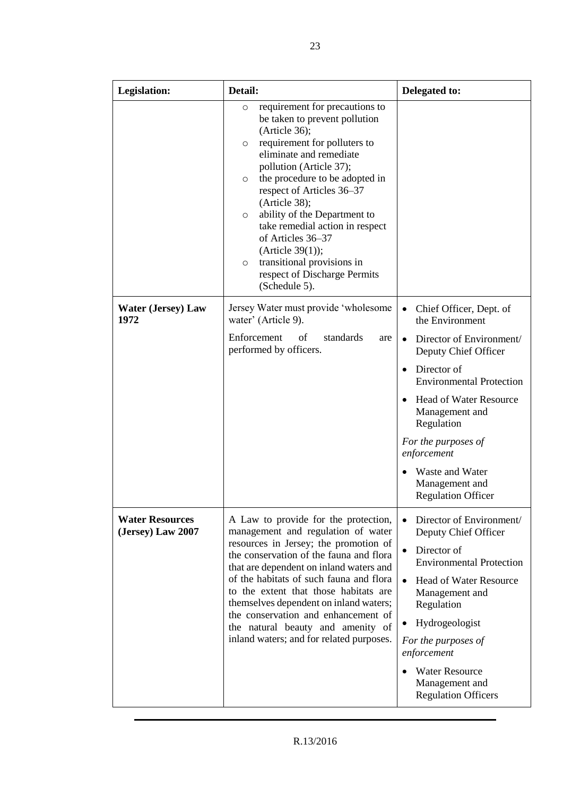| Legislation:                                | Detail:                                                                                                                                                                                                                                                                                                                                                                                                                                                                                               | Delegated to:                                                                                                                                                                                                                                                                                                                          |
|---------------------------------------------|-------------------------------------------------------------------------------------------------------------------------------------------------------------------------------------------------------------------------------------------------------------------------------------------------------------------------------------------------------------------------------------------------------------------------------------------------------------------------------------------------------|----------------------------------------------------------------------------------------------------------------------------------------------------------------------------------------------------------------------------------------------------------------------------------------------------------------------------------------|
|                                             | requirement for precautions to<br>O<br>be taken to prevent pollution<br>(Article 36);<br>requirement for polluters to<br>$\circ$<br>eliminate and remediate<br>pollution (Article 37);<br>the procedure to be adopted in<br>$\circ$<br>respect of Articles 36–37<br>(Article 38);<br>ability of the Department to<br>$\circ$<br>take remedial action in respect<br>of Articles 36-37<br>(Article $39(1)$ );<br>transitional provisions in<br>$\circ$<br>respect of Discharge Permits<br>(Schedule 5). |                                                                                                                                                                                                                                                                                                                                        |
| <b>Water (Jersey) Law</b><br>1972           | Jersey Water must provide 'wholesome<br>water' (Article 9).<br>Enforcement<br>standards<br>of<br>are<br>performed by officers.                                                                                                                                                                                                                                                                                                                                                                        | $\bullet$<br>Chief Officer, Dept. of<br>the Environment<br>Director of Environment/<br>Deputy Chief Officer<br>Director of<br><b>Environmental Protection</b><br><b>Head of Water Resource</b><br>Management and<br>Regulation<br>For the purposes of<br>enforcement<br>Waste and Water<br>Management and<br><b>Regulation Officer</b> |
| <b>Water Resources</b><br>(Jersey) Law 2007 | A Law to provide for the protection,<br>management and regulation of water<br>resources in Jersey; the promotion of<br>the conservation of the fauna and flora<br>that are dependent on inland waters and<br>of the habitats of such fauna and flora<br>to the extent that those habitats are<br>themselves dependent on inland waters;<br>the conservation and enhancement of<br>the natural beauty and amenity of<br>inland waters; and for related purposes.                                       | Director of Environment/<br>Deputy Chief Officer<br>Director of<br><b>Environmental Protection</b><br><b>Head of Water Resource</b><br>$\bullet$<br>Management and<br>Regulation<br>Hydrogeologist<br>For the purposes of<br>enforcement<br><b>Water Resource</b><br>Management and<br><b>Regulation Officers</b>                      |